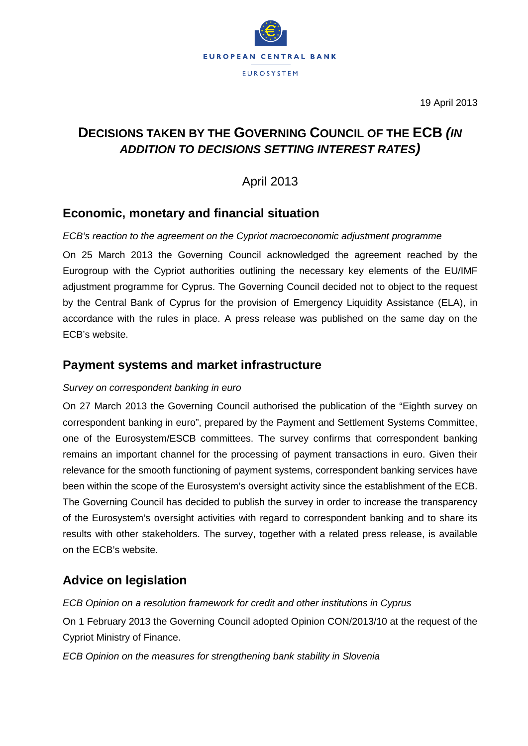

19 April 2013

# **DECISIONS TAKEN BY THE GOVERNING COUNCIL OF THE ECB** *(IN ADDITION TO DECISIONS SETTING INTEREST RATES)*

April 2013

## **Economic, monetary and financial situation**

#### *ECB's reaction to the agreement on the Cypriot macroeconomic adjustment programme*

On 25 March 2013 the Governing Council acknowledged the agreement reached by the Eurogroup with the Cypriot authorities outlining the necessary key elements of the EU/IMF adjustment programme for Cyprus. The Governing Council decided not to object to the request by the Central Bank of Cyprus for the provision of Emergency Liquidity Assistance (ELA), in accordance with the rules in place. A press release was published on the same day on the ECB's website.

## **Payment systems and market infrastructure**

#### *Survey on correspondent banking in euro*

On 27 March 2013 the Governing Council authorised the publication of the "Eighth survey on correspondent banking in euro", prepared by the Payment and Settlement Systems Committee, one of the Eurosystem/ESCB committees. The survey confirms that correspondent banking remains an important channel for the processing of payment transactions in euro. Given their relevance for the smooth functioning of payment systems, correspondent banking services have been within the scope of the Eurosystem's oversight activity since the establishment of the ECB. The Governing Council has decided to publish the survey in order to increase the transparency of the Eurosystem's oversight activities with regard to correspondent banking and to share its results with other stakeholders. The survey, together with a related press release, is available on the ECB's website.

# **Advice on legislation**

*ECB Opinion on a resolution framework for credit and other institutions in Cyprus*

On 1 February 2013 the Governing Council adopted Opinion CON/2013/10 at the request of the Cypriot Ministry of Finance.

*ECB Opinion on the measures for strengthening bank stability in Slovenia*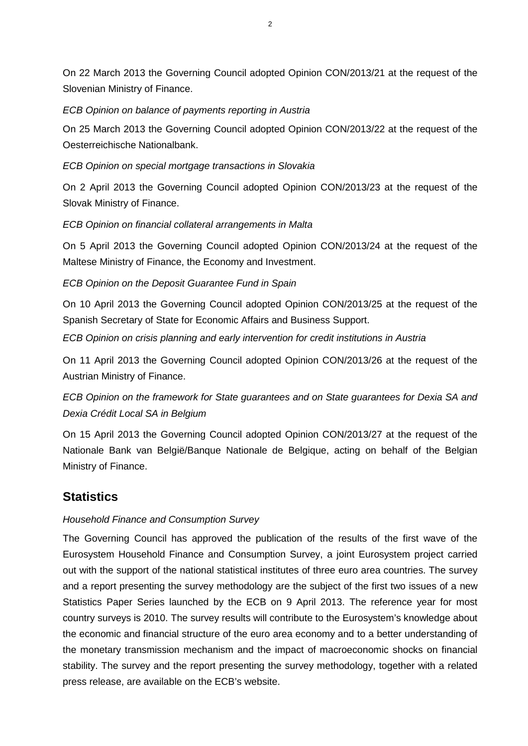On 22 March 2013 the Governing Council adopted Opinion CON/2013/21 at the request of the Slovenian Ministry of Finance.

#### *ECB Opinion on balance of payments reporting in Austria*

On 25 March 2013 the Governing Council adopted Opinion CON/2013/22 at the request of the Oesterreichische Nationalbank.

### *ECB Opinion on special mortgage transactions in Slovakia*

On 2 April 2013 the Governing Council adopted Opinion CON/2013/23 at the request of the Slovak Ministry of Finance.

### *ECB Opinion on financial collateral arrangements in Malta*

On 5 April 2013 the Governing Council adopted Opinion CON/2013/24 at the request of the Maltese Ministry of Finance, the Economy and Investment.

*ECB Opinion on the Deposit Guarantee Fund in Spain*

On 10 April 2013 the Governing Council adopted Opinion CON/2013/25 at the request of the Spanish Secretary of State for Economic Affairs and Business Support.

*ECB Opinion on crisis planning and early intervention for credit institutions in Austria*

On 11 April 2013 the Governing Council adopted Opinion CON/2013/26 at the request of the Austrian Ministry of Finance.

# *ECB Opinion on the framework for State guarantees and on State guarantees for Dexia SA and Dexia Crédit Local SA in Belgium*

On 15 April 2013 the Governing Council adopted Opinion CON/2013/27 at the request of the Nationale Bank van België/Banque Nationale de Belgique, acting on behalf of the Belgian Ministry of Finance.

# **Statistics**

## *Household Finance and Consumption Survey*

The Governing Council has approved the publication of the results of the first wave of the Eurosystem Household Finance and Consumption Survey, a joint Eurosystem project carried out with the support of the national statistical institutes of three euro area countries. The survey and a report presenting the survey methodology are the subject of the first two issues of a new Statistics Paper Series launched by the ECB on 9 April 2013. The reference year for most country surveys is 2010. The survey results will contribute to the Eurosystem's knowledge about the economic and financial structure of the euro area economy and to a better understanding of the monetary transmission mechanism and the impact of macroeconomic shocks on financial stability. The survey and the report presenting the survey methodology, together with a related press release, are available on the ECB's website.